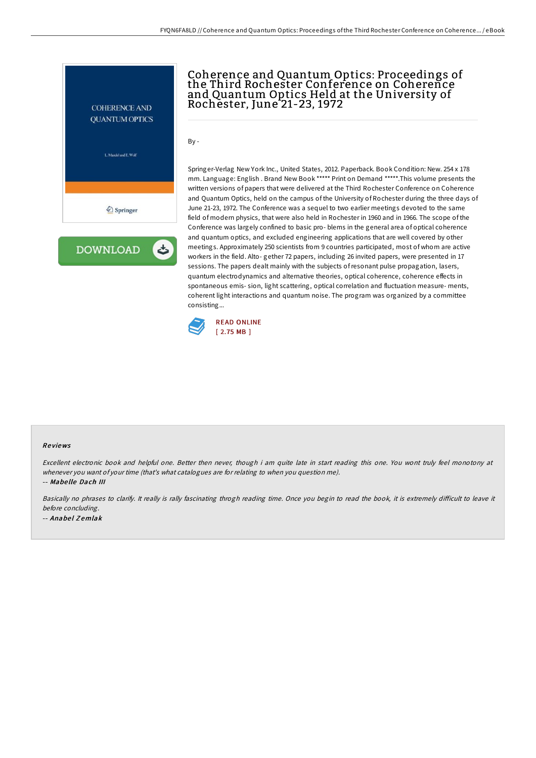

**DOWNLOAD** ٹ

## Coherence and Quantum Optics: Proceedings of the Third Rochester Conference on Coherence and Quantum Optics Held at the University of Rochester, June 21-23, 1972

By -

Springer-Verlag New York Inc., United States, 2012. Paperback. Book Condition: New. 254 x 178 mm. Language: English . Brand New Book \*\*\*\*\* Print on Demand \*\*\*\*\*.This volume presents the written versions of papers that were delivered at the Third Rochester Conference on Coherence and Quantum Optics, held on the campus of the University of Rochester during the three days of June 21-23, 1972. The Conference was a sequel to two earlier meetings devoted to the same field of modern physics, that were also held in Rochester in 1960 and in 1966. The scope of the Conference was largely confined to basic pro- blems in the general area of optical coherence and quantum optics, and excluded engineering applications that are well covered by other meetings. Approximately 250 scientists from 9 countries participated, most of whom are active workers in the field. Alto- gether 72 papers, including 26 invited papers, were presented in 17 sessions. The papers dealt mainly with the subjects ofresonant pulse propagation, lasers, quantum electrodynamics and alternative theories, optical coherence, coherence effects in spontaneous emis- sion, light scattering, optical correlation and fluctuation measure- ments, coherent light interactions and quantum noise. The program was organized by a committee consisting...



## Re views

Excellent electronic book and helpful one. Better then never, though i am quite late in start reading this one. You wont truly feel monotony at whenever you want of your time (that's what catalogues are for relating to when you question me). -- Mabe lle Dach III

Basically no phrases to clarify. It really is rally fascinating throgh reading time. Once you begin to read the book, it is extremely difficult to leave it before concluding. -- Anabel Zemlak